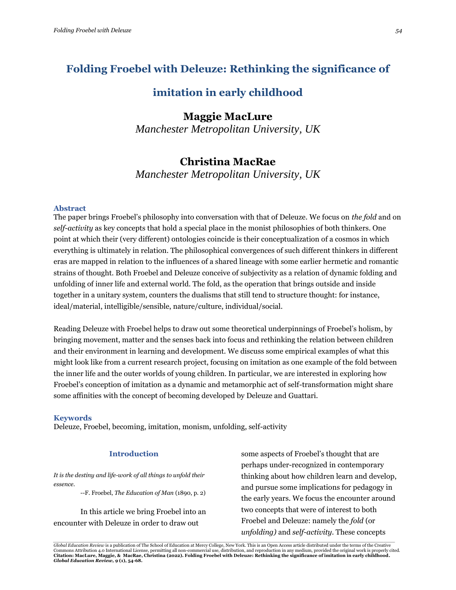# **Folding Froebel with Deleuze: Rethinking the significance of**

# **imitation in early childhood**

## **Maggie MacLure**

*Manchester Metropolitan University, UK*

### **Christina MacRae**

*Manchester Metropolitan University, UK*

#### **Abstract**

The paper brings Froebel's philosophy into conversation with that of Deleuze. We focus on *the fold* and on *self-activity* as key concepts that hold a special place in the monist philosophies of both thinkers. One point at which their (very different) ontologies coincide is their conceptualization of a cosmos in which everything is ultimately in relation. The philosophical convergences of such different thinkers in different eras are mapped in relation to the influences of a shared lineage with some earlier hermetic and romantic strains of thought. Both Froebel and Deleuze conceive of subjectivity as a relation of dynamic folding and unfolding of inner life and external world. The fold, as the operation that brings outside and inside together in a unitary system, counters the dualisms that still tend to structure thought: for instance, ideal/material, intelligible/sensible, nature/culture, individual/social.

Reading Deleuze with Froebel helps to draw out some theoretical underpinnings of Froebel's holism, by bringing movement, matter and the senses back into focus and rethinking the relation between children and their environment in learning and development. We discuss some empirical examples of what this might look like from a current research project, focusing on imitation as one example of the fold between the inner life and the outer worlds of young children. In particular, we are interested in exploring how Froebel's conception of imitation as a dynamic and metamorphic act of self-transformation might share some affinities with the concept of becoming developed by Deleuze and Guattari.

#### **Keywords**

Deleuze, Froebel, becoming, imitation, monism, unfolding, self-activity

#### **Introduction**

*It is the destiny and life-work of all things to unfold their essence.* 

--F. Froebel, *The Education of Man* (1890, p. 2)

In this article we bring Froebel into an encounter with Deleuze in order to draw out

some aspects of Froebel's thought that are perhaps under-recognized in contemporary thinking about how children learn and develop, and pursue some implications for pedagogy in the early years. We focus the encounter around two concepts that were of interest to both Froebel and Deleuze: namely the *fold* (or *unfolding)* and *self-activity*. These concepts

.<br>Global Education Review is a publication of The School of Education at Mercy College, New York. This is an Open Access article distributed under the terms of the Creative Commons Attribution 4.0 International License, permitting all non-commercial use, distribution, and reproduction in any medium, provided the original work is properly cited. **Citation: MacLure, Maggie, & MacRae, Christina (2022). Folding Froebel with Deleuze: Rethinking the significance of imitation in early childhood.** *Global Education Review, 9* **(1), 54-68.**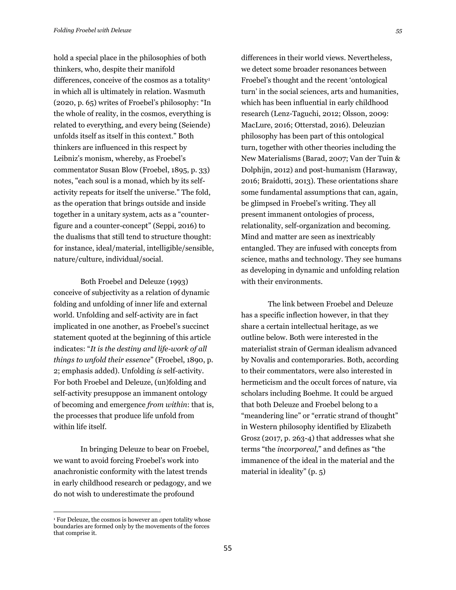hold a special place in the philosophies of both thinkers, who, despite their manifold differences, conceive of the cosmos as a totality<sup>1</sup> in which all is ultimately in relation. Wasmuth (2020, p. 65) writes of Froebel's philosophy: "In the whole of reality, in the cosmos, everything is related to everything, and every being (Seiende) unfolds itself as itself in this context." Both thinkers are influenced in this respect by Leibniz's monism, whereby, as Froebel's commentator Susan Blow (Froebel, 1895, p. 33) notes, "each soul is a monad, which by its selfactivity repeats for itself the universe." The fold, as the operation that brings outside and inside together in a unitary system, acts as a "counterfigure and a counter-concept" (Seppi, 2016) to the dualisms that still tend to structure thought: for instance, ideal/material, intelligible/sensible, nature/culture, individual/social.

Both Froebel and Deleuze (1993) conceive of subjectivity as a relation of dynamic folding and unfolding of inner life and external world. Unfolding and self-activity are in fact implicated in one another, as Froebel's succinct statement quoted at the beginning of this article indicates: "*It is the destiny and life-work of all things to unfold their essence*" (Froebel, 1890, p. 2; emphasis added). Unfolding *is* self-activity. For both Froebel and Deleuze, (un)folding and self-activity presuppose an immanent ontology of becoming and emergence *from within*: that is, the processes that produce life unfold from within life itself.

In bringing Deleuze to bear on Froebel, we want to avoid forcing Froebel's work into anachronistic conformity with the latest trends in early childhood research or pedagogy, and we do not wish to underestimate the profound

differences in their world views. Nevertheless, we detect some broader resonances between Froebel's thought and the recent 'ontological turn' in the social sciences, arts and humanities, which has been influential in early childhood research (Lenz-Taguchi, 2012; Olsson, 2009: MacLure, 2016; Otterstad, 2016). Deleuzian philosophy has been part of this ontological turn, together with other theories including the New Materialisms (Barad, 2007; Van der Tuin & Dolphijn, 2012) and post-humanism (Haraway, 2016; Braidotti, 2013). These orientations share some fundamental assumptions that can, again, be glimpsed in Froebel's writing. They all present immanent ontologies of process, relationality, self-organization and becoming. Mind and matter are seen as inextricably entangled. They are infused with concepts from science, maths and technology. They see humans as developing in dynamic and unfolding relation with their environments.

The link between Froebel and Deleuze has a specific inflection however, in that they share a certain intellectual heritage, as we outline below. Both were interested in the materialist strain of German idealism advanced by Novalis and contemporaries. Both, according to their commentators, were also interested in hermeticism and the occult forces of nature, via scholars including Boehme. It could be argued that both Deleuze and Froebel belong to a "meandering line" or "erratic strand of thought" in Western philosophy identified by Elizabeth Grosz (2017, p. 263-4) that addresses what she terms "the *incorporeal,*" and defines as "the immanence of the ideal in the material and the material in ideality" (p. 5)

<sup>1</sup> For Deleuze, the cosmos is however an *open* totality whose boundaries are formed only by the movements of the forces that comprise it.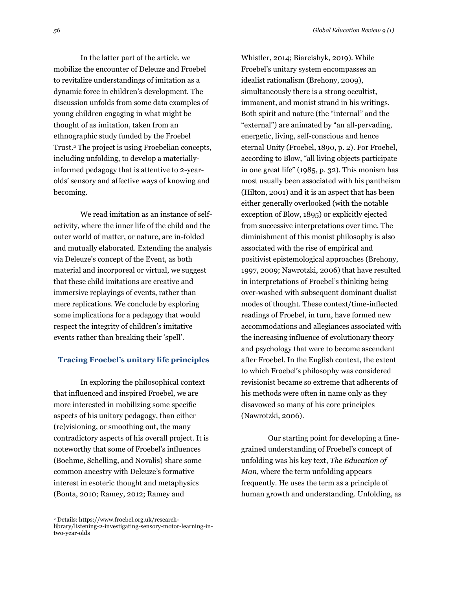In the latter part of the article, we mobilize the encounter of Deleuze and Froebel to revitalize understandings of imitation as a dynamic force in children's development. The discussion unfolds from some data examples of young children engaging in what might be thought of as imitation, taken from an ethnographic study funded by the Froebel Trust.<sup>2</sup> The project is using Froebelian concepts, including unfolding, to develop a materiallyinformed pedagogy that is attentive to 2-yearolds' sensory and affective ways of knowing and becoming.

We read imitation as an instance of selfactivity, where the inner life of the child and the outer world of matter, or nature, are in-folded and mutually elaborated. Extending the analysis via Deleuze's concept of the Event, as both material and incorporeal or virtual, we suggest that these child imitations are creative and immersive replayings of events, rather than mere replications. We conclude by exploring some implications for a pedagogy that would respect the integrity of children's imitative events rather than breaking their 'spell'.

#### **Tracing Froebel's unitary life principles**

In exploring the philosophical context that influenced and inspired Froebel, we are more interested in mobilizing some specific aspects of his unitary pedagogy, than either (re)visioning, or smoothing out, the many contradictory aspects of his overall project. It is noteworthy that some of Froebel's influences (Boehme, Schelling, and Novalis) share some common ancestry with Deleuze's formative interest in esoteric thought and metaphysics (Bonta, 2010; Ramey, 2012; Ramey and

Whistler, 2014; Biareishyk, 2019). While Froebel's unitary system encompasses an idealist rationalism (Brehony, 2009), simultaneously there is a strong occultist, immanent, and monist strand in his writings. Both spirit and nature (the "internal" and the "external") are animated by "an all-pervading, energetic, living, self-conscious and hence eternal Unity (Froebel, 1890, p. 2). For Froebel, according to Blow, "all living objects participate in one great life" (1985, p. 32). This monism has most usually been associated with his pantheism (Hilton, 2001) and it is an aspect that has been either generally overlooked (with the notable exception of Blow, 1895) or explicitly ejected from successive interpretations over time. The diminishment of this monist philosophy is also associated with the rise of empirical and positivist epistemological approaches (Brehony, 1997, 2009; Nawrotzki, 2006) that have resulted in interpretations of Froebel's thinking being over-washed with subsequent dominant dualist modes of thought. These context/time-inflected readings of Froebel, in turn, have formed new accommodations and allegiances associated with the increasing influence of evolutionary theory and psychology that were to become ascendent after Froebel. In the English context, the extent to which Froebel's philosophy was considered revisionist became so extreme that adherents of his methods were often in name only as they disavowed so many of his core principles (Nawrotzki, 2006).

Our starting point for developing a finegrained understanding of Froebel's concept of unfolding was his key text, *The Education of Man*, where the term unfolding appears frequently. He uses the term as a principle of human growth and understanding. Unfolding, as

<sup>2</sup> Details: https://www.froebel.org.uk/research-

library/listening-2-investigating-sensory-motor-learning-intwo-year-olds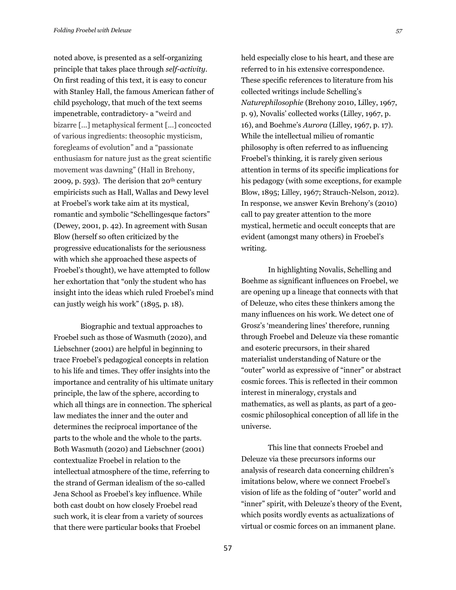noted above, is presented as a self-organizing principle that takes place through *self-activity*. On first reading of this text, it is easy to concur with Stanley Hall, the famous American father of child psychology, that much of the text seems impenetrable, contradictory- a "weird and bizarre [...] metaphysical ferment [...] concocted of various ingredients: theosophic mysticism, foregleams of evolution" and a "passionate enthusiasm for nature just as the great scientific movement was dawning" (Hall in Brehony, 2009, p. 593). The derision that  $20<sup>th</sup>$  century empiricists such as Hall, Wallas and Dewy level at Froebel's work take aim at its mystical, romantic and symbolic "Schellingesque factors" (Dewey, 2001, p. 42). In agreement with Susan Blow (herself so often criticized by the progressive educationalists for the seriousness with which she approached these aspects of Froebel's thought), we have attempted to follow her exhortation that "only the student who has insight into the ideas which ruled Froebel's mind can justly weigh his work" (1895, p. 18).

Biographic and textual approaches to Froebel such as those of Wasmuth (2020), and Liebschner (2001) are helpful in beginning to trace Froebel's pedagogical concepts in relation to his life and times. They offer insights into the importance and centrality of his ultimate unitary principle, the law of the sphere, according to which all things are in connection. The spherical law mediates the inner and the outer and determines the reciprocal importance of the parts to the whole and the whole to the parts. Both Wasmuth (2020) and Liebschner (2001) contextualize Froebel in relation to the intellectual atmosphere of the time, referring to the strand of German idealism of the so-called Jena School as Froebel's key influence. While both cast doubt on how closely Froebel read such work, it is clear from a variety of sources that there were particular books that Froebel

held especially close to his heart, and these are referred to in his extensive correspondence. These specific references to literature from his collected writings include Schelling's *Naturephilosophie* (Brehony 2010, Lilley, 1967, p. 9)*,* Novalis' collected works (Lilley, 1967, p. 16), and Boehme's *Aurora* (Lilley, 1967, p. 17). While the intellectual milieu of romantic philosophy is often referred to as influencing Froebel's thinking, it is rarely given serious attention in terms of its specific implications for his pedagogy (with some exceptions, for example Blow, 1895; Lilley, 1967; Strauch-Nelson, 2012). In response, we answer Kevin Brehony's (2010) call to pay greater attention to the more mystical, hermetic and occult concepts that are evident (amongst many others) in Froebel's writing.

In highlighting Novalis, Schelling and Boehme as significant influences on Froebel, we are opening up a lineage that connects with that of Deleuze, who cites these thinkers among the many influences on his work. We detect one of Grosz's 'meandering lines' therefore, running through Froebel and Deleuze via these romantic and esoteric precursors, in their shared materialist understanding of Nature or the "outer" world as expressive of "inner" or abstract cosmic forces. This is reflected in their common interest in mineralogy, crystals and mathematics, as well as plants, as part of a geocosmic philosophical conception of all life in the universe.

This line that connects Froebel and Deleuze via these precursors informs our analysis of research data concerning children's imitations below, where we connect Froebel's vision of life as the folding of "outer" world and "inner" spirit, with Deleuze's theory of the Event, which posits wordly events as actualizations of virtual or cosmic forces on an immanent plane.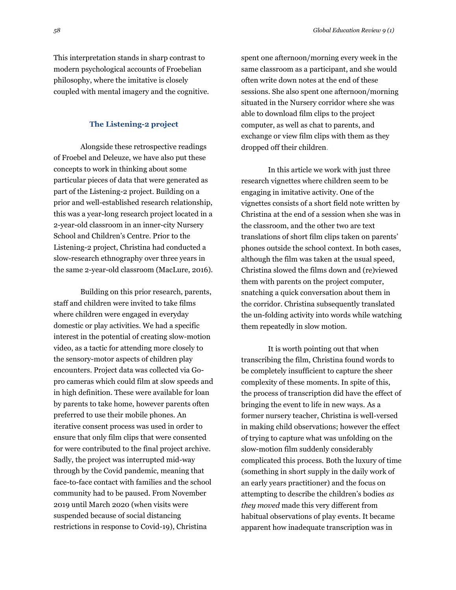This interpretation stands in sharp contrast to modern psychological accounts of Froebelian philosophy, where the imitative is closely coupled with mental imagery and the cognitive.

#### **The Listening-2 project**

Alongside these retrospective readings of Froebel and Deleuze, we have also put these concepts to work in thinking about some particular pieces of data that were generated as part of the Listening-2 project. Building on a prior and well-established research relationship, this was a year-long research project located in a 2-year-old classroom in an inner-city Nursery School and Children's Centre. Prior to the Listening-2 project, Christina had conducted a slow-research ethnography over three years in the same 2-year-old classroom (MacLure, 2016).

Building on this prior research, parents, staff and children were invited to take films where children were engaged in everyday domestic or play activities. We had a specific interest in the potential of creating slow-motion video, as a tactic for attending more closely to the sensory-motor aspects of children play encounters. Project data was collected via Gopro cameras which could film at slow speeds and in high definition. These were available for loan by parents to take home, however parents often preferred to use their mobile phones. An iterative consent process was used in order to ensure that only film clips that were consented for were contributed to the final project archive. Sadly, the project was interrupted mid-way through by the Covid pandemic, meaning that face-to-face contact with families and the school community had to be paused. From November 2019 until March 2020 (when visits were suspended because of social distancing restrictions in response to Covid-19), Christina

spent one afternoon/morning every week in the same classroom as a participant, and she would often write down notes at the end of these sessions. She also spent one afternoon/morning situated in the Nursery corridor where she was able to download film clips to the project computer, as well as chat to parents, and exchange or view film clips with them as they dropped off their children.

In this article we work with just three research vignettes where children seem to be engaging in imitative activity. One of the vignettes consists of a short field note written by Christina at the end of a session when she was in the classroom, and the other two are text translations of short film clips taken on parents' phones outside the school context. In both cases, although the film was taken at the usual speed, Christina slowed the films down and (re)viewed them with parents on the project computer, snatching a quick conversation about them in the corridor. Christina subsequently translated the un-folding activity into words while watching them repeatedly in slow motion.

It is worth pointing out that when transcribing the film, Christina found words to be completely insufficient to capture the sheer complexity of these moments. In spite of this, the process of transcription did have the effect of bringing the event to life in new ways. As a former nursery teacher, Christina is well-versed in making child observations; however the effect of trying to capture what was unfolding on the slow-motion film suddenly considerably complicated this process. Both the luxury of time (something in short supply in the daily work of an early years practitioner) and the focus on attempting to describe the children's bodies *as they moved* made this very different from habitual observations of play events. It became apparent how inadequate transcription was in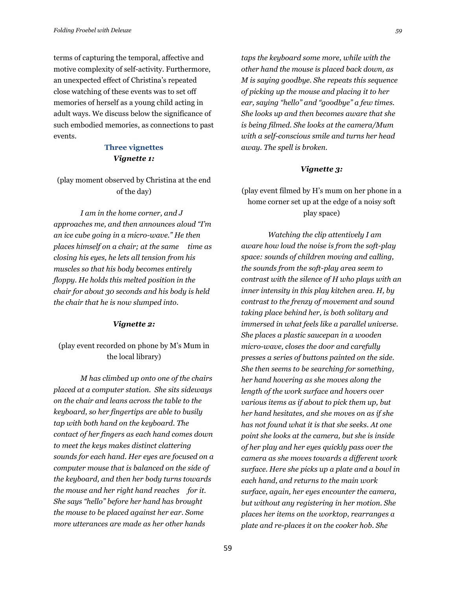terms of capturing the temporal, affective and motive complexity of self-activity. Furthermore, an unexpected effect of Christina's repeated close watching of these events was to set off memories of herself as a young child acting in adult ways. We discuss below the significance of such embodied memories, as connections to past events.

### **Three vignettes** *Vignette 1:*

(play moment observed by Christina at the end of the day)

*I am in the home corner, and J approaches me, and then announces aloud "I'm an ice cube going in a micro-wave." He then places himself on a chair; at the same time as closing his eyes, he lets all tension from his muscles so that his body becomes entirely floppy. He holds this melted position in the chair for about 30 seconds and his body is held the chair that he is now slumped into.*

#### *Vignette 2:*

(play event recorded on phone by M's Mum in the local library)

*M has climbed up onto one of the chairs placed at a computer station. She sits sideways on the chair and leans across the table to the keyboard, so her fingertips are able to busily tap with both hand on the keyboard. The contact of her fingers as each hand comes down to meet the keys makes distinct clattering sounds for each hand. Her eyes are focused on a computer mouse that is balanced on the side of the keyboard, and then her body turns towards the mouse and her right hand reaches for it. She says "hello" before her hand has brought the mouse to be placed against her ear. Some more utterances are made as her other hands* 

*taps the keyboard some more, while with the other hand the mouse is placed back down, as M is saying goodbye. She repeats this sequence of picking up the mouse and placing it to her ear, saying "hello" and "goodbye" a few times. She looks up and then becomes aware that she is being filmed. She looks at the camera/Mum with a self-conscious smile and turns her head away. The spell is broken.* 

#### *Vignette 3:*

(play event filmed by H's mum on her phone in a home corner set up at the edge of a noisy soft play space)

*Watching the clip attentively I am aware how loud the noise is from the soft-play space: sounds of children moving and calling, the sounds from the soft-play area seem to contrast with the silence of H who plays with an inner intensity in this play kitchen area. H, by contrast to the frenzy of movement and sound taking place behind her, is both solitary and immersed in what feels like a parallel universe. She places a plastic saucepan in a wooden micro-wave, closes the door and carefully presses a series of buttons painted on the side. She then seems to be searching for something, her hand hovering as she moves along the length of the work surface and hovers over various items as if about to pick them up, but her hand hesitates, and she moves on as if she has not found what it is that she seeks. At one point she looks at the camera, but she is inside of her play and her eyes quickly pass over the camera as she moves towards a different work surface. Here she picks up a plate and a bowl in each hand, and returns to the main work surface, again, her eyes encounter the camera, but without any registering in her motion. She places her items on the worktop, rearranges a plate and re-places it on the cooker hob. She*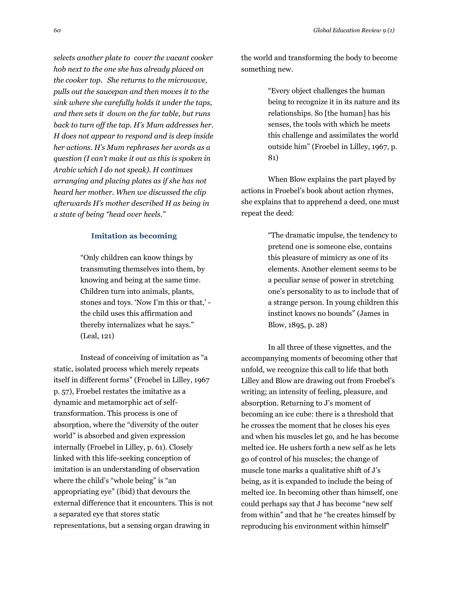*selects another plate to cover the vacant cooker hob next to the one she has already placed on the cooker top. She returns to the microwave, pulls out the saucepan and then moves it to the sink where she carefully holds it under the taps, and then sets it down on the far table, but runs back to turn off the tap. H's Mum addresses her. H does not appear to respond and is deep inside her actions. H's Mum rephrases her words as a question (I can't make it out as this is spoken in Arabic which I do not speak). H continues arranging and placing plates as if she has not heard her mother. When we discussed the clip afterwards H's mother described H as being in a state of being "head over heels."*

#### **Imitation as becoming**

"Only children can know things by transmuting themselves into them, by knowing and being at the same time. Children turn into animals, plants, stones and toys. 'Now I'm this or that,' the child uses this affirmation and thereby internalizes what he says." (Leal, 121)

Instead of conceiving of imitation as "a static, isolated process which merely repeats itself in different forms" (Froebel in Lilley, 1967 p. 57), Froebel restates the imitative as a dynamic and metamorphic act of selftransformation. This process is one of absorption, where the "diversity of the outer world" is absorbed and given expression internally (Froebel in Lilley, p. 61). Closely linked with this life-seeking conception of imitation is an understanding of observation where the child's "whole being" is "an appropriating eye" (ibid) that devours the external difference that it encounters. This is not a separated eye that stores static representations, but a sensing organ drawing in

the world and transforming the body to become something new.

> "Every object challenges the human being to recognize it in its nature and its relationships. So [the human] has his senses, the tools with which he meets this challenge and assimilates the world outside him" (Froebel in Lilley, 1967, p. 81)

When Blow explains the part played by actions in Froebel's book about action rhymes, she explains that to apprehend a deed, one must repeat the deed:

> "The dramatic impulse, the tendency to pretend one is someone else, contains this pleasure of mimicry as one of its elements. Another element seems to be a peculiar sense of power in stretching one's personality to as to include that of a strange person. In young children this instinct knows no bounds" (James in Blow, 1895, p. 28)

In all three of these vignettes, and the accompanying moments of becoming other that unfold, we recognize this call to life that both Lilley and Blow are drawing out from Froebel's writing; an intensity of feeling, pleasure, and absorption. Returning to J's moment of becoming an ice cube: there is a threshold that he crosses the moment that he closes his eyes and when his muscles let go, and he has become melted ice. He ushers forth a new self as he lets go of control of his muscles; the change of muscle tone marks a qualitative shift of J's being, as it is expanded to include the being of melted ice. In becoming other than himself, one could perhaps say that J has become "new self from within" and that he "he creates himself by reproducing his environment within himself"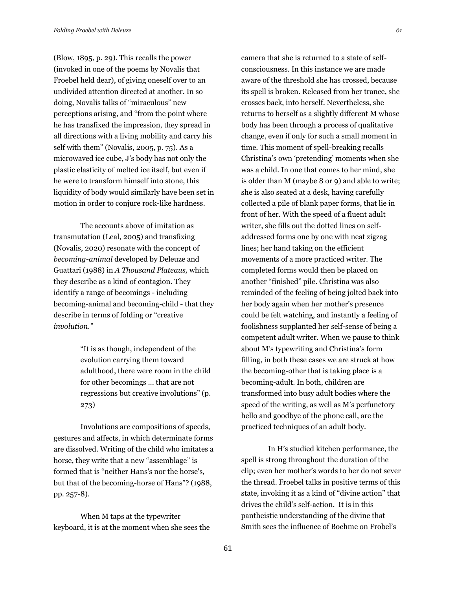(Blow, 1895, p. 29). This recalls the power (invoked in one of the poems by Novalis that Froebel held dear), of giving oneself over to an undivided attention directed at another. In so doing, Novalis talks of "miraculous" new perceptions arising, and "from the point where he has transfixed the impression, they spread in all directions with a living mobility and carry his self with them" (Novalis, 2005, p. 75). As a microwaved ice cube, J's body has not only the plastic elasticity of melted ice itself, but even if he were to transform himself into stone, this liquidity of body would similarly have been set in motion in order to conjure rock-like hardness.

The accounts above of imitation as transmutation (Leal, 2005) and transfixing (Novalis, 2020) resonate with the concept of *becoming-animal* developed by Deleuze and Guattari (1988) in *A Thousand Plateaus,* which they describe as a kind of contagion*.* They identify a range of becomings - including becoming-animal and becoming-child - that they describe in terms of folding or "creative *involution."*

> "It is as though, independent of the evolution carrying them toward adulthood, there were room in the child for other becomings ... that are not regressions but creative involutions" (p. 273)

Involutions are compositions of speeds, gestures and affects, in which determinate forms are dissolved. Writing of the child who imitates a horse, they write that a new "assemblage" is formed that is "neither Hans's nor the horse's, but that of the becoming-horse of Hans"? (1988, pp. 257-8).

When M taps at the typewriter keyboard, it is at the moment when she sees the camera that she is returned to a state of selfconsciousness. In this instance we are made aware of the threshold she has crossed, because its spell is broken. Released from her trance, she crosses back, into herself. Nevertheless, she returns to herself as a slightly different M whose body has been through a process of qualitative change, even if only for such a small moment in time. This moment of spell-breaking recalls Christina's own 'pretending' moments when she was a child. In one that comes to her mind, she is older than M (maybe 8 or 9) and able to write; she is also seated at a desk, having carefully collected a pile of blank paper forms, that lie in front of her. With the speed of a fluent adult writer, she fills out the dotted lines on selfaddressed forms one by one with neat zigzag lines; her hand taking on the efficient movements of a more practiced writer. The completed forms would then be placed on another "finished" pile. Christina was also reminded of the feeling of being jolted back into her body again when her mother's presence could be felt watching, and instantly a feeling of foolishness supplanted her self-sense of being a competent adult writer. When we pause to think about M's typewriting and Christina's form filling, in both these cases we are struck at how the becoming-other that is taking place is a becoming-adult. In both, children are transformed into busy adult bodies where the speed of the writing, as well as M's perfunctory hello and goodbye of the phone call, are the practiced techniques of an adult body.

In H's studied kitchen performance, the spell is strong throughout the duration of the clip; even her mother's words to her do not sever the thread. Froebel talks in positive terms of this state, invoking it as a kind of "divine action" that drives the child's self-action. It is in this pantheistic understanding of the divine that Smith sees the influence of Boehme on Frobel's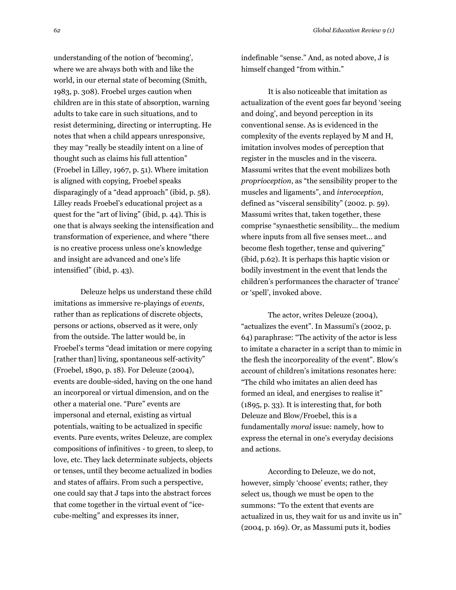understanding of the notion of 'becoming', where we are always both with and like the world, in our eternal state of becoming (Smith, 1983, p. 308). Froebel urges caution when children are in this state of absorption, warning adults to take care in such situations, and to resist determining, directing or interrupting. He notes that when a child appears unresponsive, they may "really be steadily intent on a line of thought such as claims his full attention" (Froebel in Lilley, 1967, p. 51). Where imitation is aligned with copying, Froebel speaks disparagingly of a "dead approach" (ibid, p. 58). Lilley reads Froebel's educational project as a quest for the "art of living" (ibid, p. 44). This is one that is always seeking the intensification and transformation of experience, and where "there is no creative process unless one's knowledge and insight are advanced and one's life intensified" (ibid, p. 43).

Deleuze helps us understand these child imitations as immersive re-playings of *events*, rather than as replications of discrete objects, persons or actions, observed as it were, only from the outside. The latter would be, in Froebel's terms "dead imitation or mere copying [rather than] living, spontaneous self-activity" (Froebel, 1890, p. 18). For Deleuze (2004), events are double-sided, having on the one hand an incorporeal or virtual dimension, and on the other a material one. "Pure" events are impersonal and eternal, existing as virtual potentials, waiting to be actualized in specific events. Pure events, writes Deleuze, are complex compositions of infinitives - to green, to sleep, to love, etc. They lack determinate subjects, objects or tenses, until they become actualized in bodies and states of affairs. From such a perspective, one could say that J taps into the abstract forces that come together in the virtual event of "icecube-melting" and expresses its inner,

indefinable "sense." And, as noted above, J is himself changed "from within."

It is also noticeable that imitation as actualization of the event goes far beyond 'seeing and doing', and beyond perception in its conventional sense. As is evidenced in the complexity of the events replayed by M and H, imitation involves modes of perception that register in the muscles and in the viscera. Massumi writes that the event mobilizes both *proprioception*, as "the sensibility proper to the muscles and ligaments", and *interoception,*  defined as "visceral sensibility" (2002. p. 59). Massumi writes that, taken together, these comprise "synaesthetic sensibility... the medium where inputs from all five senses meet... and become flesh together, tense and quivering" (ibid, p.62). It is perhaps this haptic vision or bodily investment in the event that lends the children's performances the character of 'trance' or 'spell', invoked above.

The actor, writes Deleuze (2004), "actualizes the event". In Massumi's (2002, p. 64) paraphrase: "The activity of the actor is less to imitate a character in a script than to mimic in the flesh the incorporeality of the event". Blow's account of children's imitations resonates here: "The child who imitates an alien deed has formed an ideal, and energises to realise it" (1895, p. 33). It is interesting that, for both Deleuze and Blow/Froebel, this is a fundamentally *moral* issue: namely, how to express the eternal in one's everyday decisions and actions.

According to Deleuze, we do not, however, simply 'choose' events; rather, they select us, though we must be open to the summons: "To the extent that events are actualized in us, they wait for us and invite us in" (2004, p. 169). Or, as Massumi puts it, bodies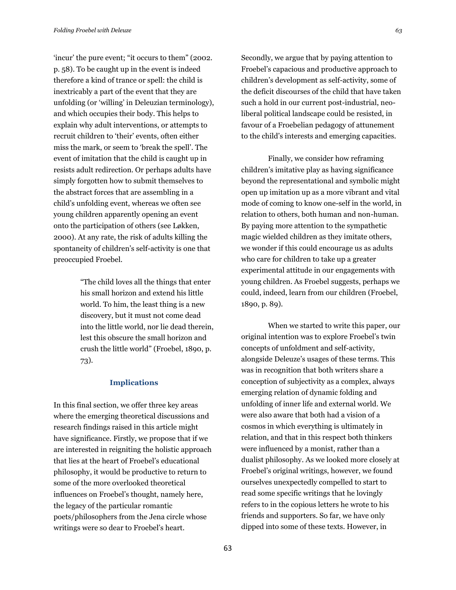'incur' the pure event; "it occurs to them" (2002. p. 58). To be caught up in the event is indeed therefore a kind of trance or spell: the child is inextricably a part of the event that they are unfolding (or 'willing' in Deleuzian terminology), and which occupies their body. This helps to explain why adult interventions, or attempts to recruit children to 'their' events, often either miss the mark, or seem to 'break the spell'. The event of imitation that the child is caught up in resists adult redirection. Or perhaps adults have simply forgotten how to submit themselves to the abstract forces that are assembling in a child's unfolding event, whereas we often see young children apparently opening an event onto the participation of others (see Løkken, 2000). At any rate, the risk of adults killing the spontaneity of children's self-activity is one that preoccupied Froebel.

> "The child loves all the things that enter his small horizon and extend his little world. To him, the least thing is a new discovery, but it must not come dead into the little world, nor lie dead therein, lest this obscure the small horizon and crush the little world" (Froebel, 1890, p. 73).

#### **Implications**

In this final section, we offer three key areas where the emerging theoretical discussions and research findings raised in this article might have significance. Firstly, we propose that if we are interested in reigniting the holistic approach that lies at the heart of Froebel's educational philosophy, it would be productive to return to some of the more overlooked theoretical influences on Froebel's thought, namely here, the legacy of the particular romantic poets/philosophers from the Jena circle whose writings were so dear to Froebel's heart.

Secondly, we argue that by paying attention to Froebel's capacious and productive approach to children's development as self-activity, some of the deficit discourses of the child that have taken such a hold in our current post-industrial, neoliberal political landscape could be resisted, in favour of a Froebelian pedagogy of attunement to the child's interests and emerging capacities.

Finally, we consider how reframing children's imitative play as having significance beyond the representational and symbolic might open up imitation up as a more vibrant and vital mode of coming to know one-self in the world, in relation to others, both human and non-human. By paying more attention to the sympathetic magic wielded children as they imitate others, we wonder if this could encourage us as adults who care for children to take up a greater experimental attitude in our engagements with young children. As Froebel suggests, perhaps we could, indeed, learn from our children (Froebel, 1890, p. 89).

When we started to write this paper, our original intention was to explore Froebel's twin concepts of unfoldment and self-activity, alongside Deleuze's usages of these terms. This was in recognition that both writers share a conception of subjectivity as a complex, always emerging relation of dynamic folding and unfolding of inner life and external world. We were also aware that both had a vision of a cosmos in which everything is ultimately in relation, and that in this respect both thinkers were influenced by a monist, rather than a dualist philosophy*.* As we looked more closely at Froebel's original writings, however, we found ourselves unexpectedly compelled to start to read some specific writings that he lovingly refers to in the copious letters he wrote to his friends and supporters. So far, we have only dipped into some of these texts. However, in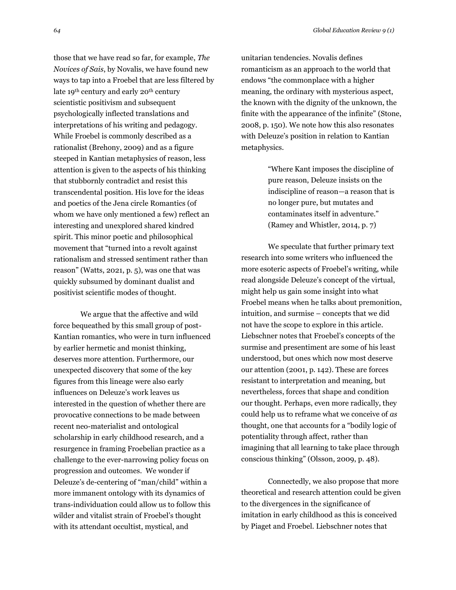those that we have read so far, for example, *The Novices of Sais*, by Novalis, we have found new ways to tap into a Froebel that are less filtered by late 19<sup>th</sup> century and early 20<sup>th</sup> century scientistic positivism and subsequent psychologically inflected translations and interpretations of his writing and pedagogy. While Froebel is commonly described as a rationalist (Brehony, 2009) and as a figure steeped in Kantian metaphysics of reason, less attention is given to the aspects of his thinking that stubbornly contradict and resist this transcendental position. His love for the ideas and poetics of the Jena circle Romantics (of whom we have only mentioned a few) reflect an interesting and unexplored shared kindred spirit. This minor poetic and philosophical movement that "turned into a revolt against rationalism and stressed sentiment rather than reason" (Watts, 2021, p. 5), was one that was quickly subsumed by dominant dualist and positivist scientific modes of thought.

We argue that the affective and wild force bequeathed by this small group of post-Kantian romantics, who were in turn influenced by earlier hermetic and monist thinking, deserves more attention. Furthermore, our unexpected discovery that some of the key figures from this lineage were also early influences on Deleuze's work leaves us interested in the question of whether there are provocative connections to be made between recent neo-materialist and ontological scholarship in early childhood research, and a resurgence in framing Froebelian practice as a challenge to the ever-narrowing policy focus on progression and outcomes. We wonder if Deleuze's de-centering of "man/child" within a more immanent ontology with its dynamics of trans-individuation could allow us to follow this wilder and vitalist strain of Froebel's thought with its attendant occultist, mystical, and

unitarian tendencies. Novalis defines romanticism as an approach to the world that endows "the commonplace with a higher meaning, the ordinary with mysterious aspect, the known with the dignity of the unknown, the finite with the appearance of the infinite" (Stone, 2008, p. 150). We note how this also resonates with Deleuze's position in relation to Kantian metaphysics.

> "Where Kant imposes the discipline of pure reason, Deleuze insists on the indiscipline of reason—a reason that is no longer pure, but mutates and contaminates itself in adventure." (Ramey and Whistler, 2014, p. 7)

We speculate that further primary text research into some writers who influenced the more esoteric aspects of Froebel's writing, while read alongside Deleuze's concept of the virtual, might help us gain some insight into what Froebel means when he talks about premonition, intuition, and surmise – concepts that we did not have the scope to explore in this article. Liebschner notes that Froebel's concepts of the surmise and presentiment are some of his least understood, but ones which now most deserve our attention (2001, p. 142). These are forces resistant to interpretation and meaning, but nevertheless, forces that shape and condition our thought. Perhaps, even more radically, they could help us to reframe what we conceive of *as* thought, one that accounts for a "bodily logic of potentiality through affect, rather than imagining that all learning to take place through conscious thinking" (Olsson, 2009, p. 48).

Connectedly, we also propose that more theoretical and research attention could be given to the divergences in the significance of imitation in early childhood as this is conceived by Piaget and Froebel. Liebschner notes that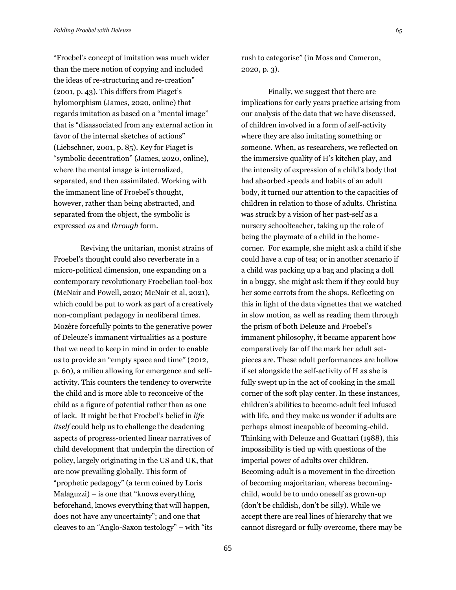"Froebel's concept of imitation was much wider than the mere notion of copying and included the ideas of re-structuring and re-creation" (2001, p. 43). This differs from Piaget's hylomorphism (James, 2020, online) that regards imitation as based on a "mental image" that is "disassociated from any external action in favor of the internal sketches of actions" (Liebschner, 2001, p. 85). Key for Piaget is "symbolic decentration" (James, 2020, online), where the mental image is internalized,

separated, and then assimilated. Working with the immanent line of Froebel's thought, however, rather than being abstracted, and separated from the object, the symbolic is expressed *as* and *through* form.

Reviving the unitarian, monist strains of Froebel's thought could also reverberate in a micro-political dimension, one expanding on a contemporary revolutionary Froebelian tool-box (McNair and Powell, 2020; McNair et al, 2021), which could be put to work as part of a creatively non-compliant pedagogy in neoliberal times. Mozère forcefully points to the generative power of Deleuze's immanent virtualities as a posture that we need to keep in mind in order to enable us to provide an "empty space and time" (2012, p. 60), a milieu allowing for emergence and selfactivity. This counters the tendency to overwrite the child and is more able to reconceive of the child as a figure of potential rather than as one of lack. It might be that Froebel's belief in *life itself* could help us to challenge the deadening aspects of progress-oriented linear narratives of child development that underpin the direction of policy, largely originating in the US and UK, that are now prevailing globally. This form of "prophetic pedagogy" (a term coined by Loris Malaguzzi) – is one that "knows everything beforehand, knows everything that will happen, does not have any uncertainty"; and one that cleaves to an "Anglo-Saxon testology" – with "its

rush to categorise" (in Moss and Cameron, 2020, p. 3).

Finally, we suggest that there are implications for early years practice arising from our analysis of the data that we have discussed, of children involved in a form of self-activity where they are also imitating something or someone. When, as researchers, we reflected on the immersive quality of H's kitchen play, and the intensity of expression of a child's body that had absorbed speeds and habits of an adult body, it turned our attention to the capacities of children in relation to those of adults. Christina was struck by a vision of her past-self as a nursery schoolteacher, taking up the role of being the playmate of a child in the homecorner. For example, she might ask a child if she could have a cup of tea; or in another scenario if a child was packing up a bag and placing a doll in a buggy, she might ask them if they could buy her some carrots from the shops. Reflecting on this in light of the data vignettes that we watched in slow motion, as well as reading them through the prism of both Deleuze and Froebel's immanent philosophy, it became apparent how comparatively far off the mark her adult setpieces are. These adult performances are hollow if set alongside the self-activity of H as she is fully swept up in the act of cooking in the small corner of the soft play center. In these instances, children's abilities to become-adult feel infused with life, and they make us wonder if adults are perhaps almost incapable of becoming-child. Thinking with Deleuze and Guattari (1988), this impossibility is tied up with questions of the imperial power of adults over children. Becoming-adult is a movement in the direction of becoming majoritarian, whereas becomingchild, would be to undo oneself as grown-up (don't be childish, don't be silly). While we accept there are real lines of hierarchy that we cannot disregard or fully overcome, there may be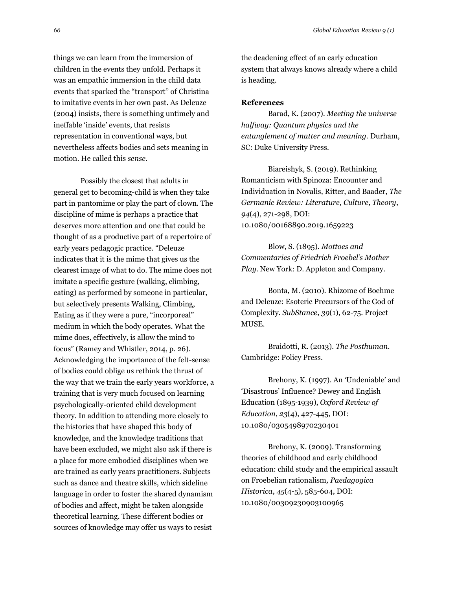things we can learn from the immersion of children in the events they unfold. Perhaps it was an empathic immersion in the child data events that sparked the "transport" of Christina to imitative events in her own past. As Deleuze (2004) insists, there is something untimely and ineffable 'inside' events, that resists representation in conventional ways, but nevertheless affects bodies and sets meaning in motion. He called this *sense.*

Possibly the closest that adults in general get to becoming-child is when they take part in pantomime or play the part of clown. The discipline of mime is perhaps a practice that deserves more attention and one that could be thought of as a productive part of a repertoire of early years pedagogic practice. "Deleuze indicates that it is the mime that gives us the clearest image of what to do. The mime does not imitate a specific gesture (walking, climbing, eating) as performed by someone in particular, but selectively presents Walking, Climbing, Eating as if they were a pure, "incorporeal" medium in which the body operates. What the mime does, effectively, is allow the mind to focus" (Ramey and Whistler, 2014, p. 26). Acknowledging the importance of the felt-sense of bodies could oblige us rethink the thrust of the way that we train the early years workforce, a training that is very much focused on learning psychologically-oriented child development theory. In addition to attending more closely to the histories that have shaped this body of knowledge, and the knowledge traditions that have been excluded, we might also ask if there is a place for more embodied disciplines when we are trained as early years practitioners. Subjects such as dance and theatre skills, which sideline language in order to foster the shared dynamism of bodies and affect, might be taken alongside theoretical learning. These different bodies or sources of knowledge may offer us ways to resist

the deadening effect of an early education system that always knows already where a child is heading.

#### **References**

Barad, K. (2007). *Meeting the universe halfway: Quantum physics and the entanglement of matter and meaning.* Durham, SC: Duke University Press*.*

Biareishyk, S. (2019). Rethinking Romanticism with Spinoza: Encounter and Individuation in Novalis, Ritter, and Baader, *The Germanic Review: Literature, Culture, Theory*, *94*(4), 271-298, DOI: 10.1080/00168890.2019.1659223

Blow, S. (1895). *Mottoes and Commentaries of Friedrich Froebel's Mother Play*. New York: D. Appleton and Company.

Bonta, M. (2010). Rhizome of Boehme and Deleuze: Esoteric Precursors of the God of Complexity. *SubStance*, *39*(1), 62-75. Project MUSE.

Braidotti, R. (2013)*. The Posthuman.*  Cambridge: Policy Press.

Brehony, K. (1997). An 'Undeniable' and 'Disastrous' Influence? Dewey and English Education (1895‐1939), *Oxford Review of Education*, *23*(4), 427-445, DOI: [10.1080/0305498970230401](https://doi.org/10.1080/0305498970230401)

Brehony, K. (2009). Transforming theories of childhood and early childhood education: child study and the empirical assault on Froebelian rationalism*, Paedagogica Historica*, *45*(4-5), 585-604, DOI: 10.1080/00309230903100965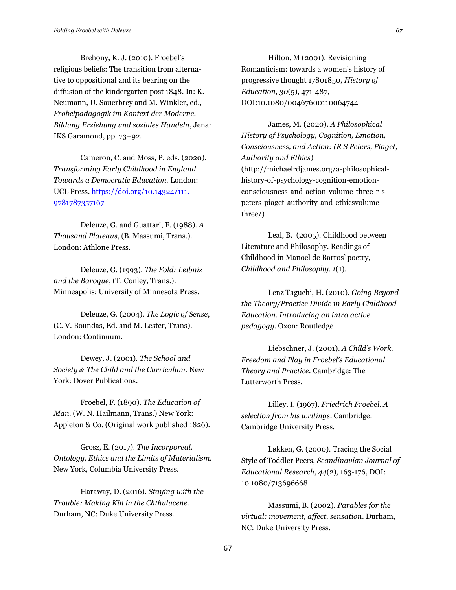Brehony, K. J. (2010). Froebel's religious beliefs: The transition from alternative to oppositional and its bearing on the diffusion of the kindergarten post 1848. In: K. Neumann, U. Sauerbrey and M. Winkler, ed., *Frobelpadagogik im Kontext der Moderne. Bildung Erziehung und soziales Handeln*, Jena: IKS Garamond, pp. 73–92.

Cameron, C. and Moss, P. eds. (2020). *Transforming Early Childhood in England. Towards a Democratic Education.* London: UCL Press. [https://doi.org/10.14324/111.](https://doi.org/10.14324/111.%209781787357167)  [9781787357167](https://doi.org/10.14324/111.%209781787357167)

Deleuze, G. and Guattari, F. (1988). *A Thousand Plateaus*, (B. Massumi, Trans.). London: Athlone Press.

Deleuze, G. (1993). *The Fold: Leibniz and the Baroque*, (T. Conley, Trans.). Minneapolis: University of Minnesota Press.

Deleuze, G. (2004). *The Logic of Sense*, (C. V. Boundas, Ed. and M. Lester, Trans). London: Continuum.

Dewey, J. (2001). *The School and Society & The Child and the Curriculum.* New York: Dover Publications.

Froebel, F. (1890). *The Education of Man*. (W. N. Hailmann, Trans.) New York: Appleton & Co. (Original work published 1826).

Grosz, E. (2017). *The Incorporeal. Ontology, Ethics and the Limits of Materialism.*  New York, Columbia University Press.

Haraway, D. (2016). *Staying with the Trouble: Making Kin in the Chthulucene.* Durham, NC: Duke University Press.

Hilton, M (2001). Revisioning Romanticism: towards a women's history of progressive thought 17801850, *History of Education*, *30*(5), 471-487, DOI:10.1080/00467600110064744

James, M. (2020). *A Philosophical History of Psychology, Cognition, Emotion, Consciousness, and Action: (R S Peters, Piaget, Authority and Ethics*) [\(http://michaelrdjames.org/a-philosophical](http://michaelrdjames.org/a-philosophical-history-of-psychology-cognition-emotion-consciousness-and-action-volume-three-r-s-peters-piaget-authority-and-ethicsvolume-three/)[history-of-psychology-cognition-emotion](http://michaelrdjames.org/a-philosophical-history-of-psychology-cognition-emotion-consciousness-and-action-volume-three-r-s-peters-piaget-authority-and-ethicsvolume-three/)[consciousness-and-action-volume-three-r-s](http://michaelrdjames.org/a-philosophical-history-of-psychology-cognition-emotion-consciousness-and-action-volume-three-r-s-peters-piaget-authority-and-ethicsvolume-three/)[peters-piaget-authority-and-ethicsvolume](http://michaelrdjames.org/a-philosophical-history-of-psychology-cognition-emotion-consciousness-and-action-volume-three-r-s-peters-piaget-authority-and-ethicsvolume-three/)[three/\)](http://michaelrdjames.org/a-philosophical-history-of-psychology-cognition-emotion-consciousness-and-action-volume-three-r-s-peters-piaget-authority-and-ethicsvolume-three/)

Leal, B. (2005). Childhood between Literature and Philosophy. Readings of Childhood in Manoel de Barros' poetry, *Childhood and Philosophy. 1*(1).

Lenz Taguchi, H. (2010). *Going Beyond the Theory/Practice Divide in Early Childhood Education. Introducing an intra active pedagogy*. Oxon: Routledge

Liebschner, J. (2001). *A Child's Work. Freedom and Play in Froebel's Educational Theory and Practice.* Cambridge: The Lutterworth Press.

Lilley, I. (1967). *Friedrich Froebel. A selection from his writings*. Cambridge: Cambridge University Press.

Løkken, G. (2000). Tracing the Social Style of Toddler Peers, *Scandinavian Journal of Educational Research*, *44*(2), 163-176, DOI: [10.1080/713696668](https://doi.org/10.1080/713696668)

Massumi, B. (2002). *Parables for the virtual: movement, affect, sensation*. Durham, NC: Duke University Press.